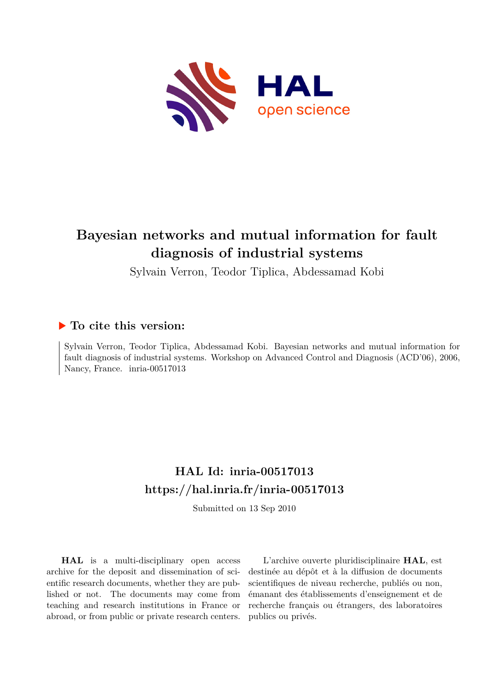

# **Bayesian networks and mutual information for fault diagnosis of industrial systems**

Sylvain Verron, Teodor Tiplica, Abdessamad Kobi

### **To cite this version:**

Sylvain Verron, Teodor Tiplica, Abdessamad Kobi. Bayesian networks and mutual information for fault diagnosis of industrial systems. Workshop on Advanced Control and Diagnosis (ACD'06), 2006, Nancy, France. inria-00517013

## **HAL Id: inria-00517013 <https://hal.inria.fr/inria-00517013>**

Submitted on 13 Sep 2010

**HAL** is a multi-disciplinary open access archive for the deposit and dissemination of scientific research documents, whether they are published or not. The documents may come from teaching and research institutions in France or abroad, or from public or private research centers.

L'archive ouverte pluridisciplinaire **HAL**, est destinée au dépôt et à la diffusion de documents scientifiques de niveau recherche, publiés ou non, émanant des établissements d'enseignement et de recherche français ou étrangers, des laboratoires publics ou privés.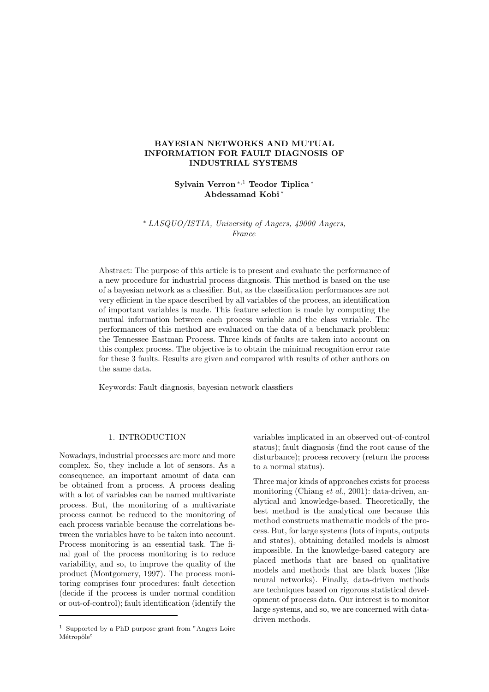### BAYESIAN NETWORKS AND MUTUAL INFORMATION FOR FAULT DIAGNOSIS OF INDUSTRIAL SYSTEMS

Sylvain Verron <sup>∗</sup>,<sup>1</sup> Teodor Tiplica <sup>∗</sup> Abdessamad Kobi <sup>∗</sup>

<sup>∗</sup> LASQUO/ISTIA, University of Angers, 49000 Angers, France

Abstract: The purpose of this article is to present and evaluate the performance of a new procedure for industrial process diagnosis. This method is based on the use of a bayesian network as a classifier. But, as the classification performances are not very efficient in the space described by all variables of the process, an identification of important variables is made. This feature selection is made by computing the mutual information between each process variable and the class variable. The performances of this method are evaluated on the data of a benchmark problem: the Tennessee Eastman Process. Three kinds of faults are taken into account on this complex process. The objective is to obtain the minimal recognition error rate for these 3 faults. Results are given and compared with results of other authors on the same data.

Keywords: Fault diagnosis, bayesian network classfiers

#### 1. INTRODUCTION

Nowadays, industrial processes are more and more complex. So, they include a lot of sensors. As a consequence, an important amount of data can be obtained from a process. A process dealing with a lot of variables can be named multivariate process. But, the monitoring of a multivariate process cannot be reduced to the monitoring of each process variable because the correlations between the variables have to be taken into account. Process monitoring is an essential task. The final goal of the process monitoring is to reduce variability, and so, to improve the quality of the product (Montgomery, 1997). The process monitoring comprises four procedures: fault detection (decide if the process is under normal condition or out-of-control); fault identification (identify the variables implicated in an observed out-of-control status); fault diagnosis (find the root cause of the disturbance); process recovery (return the process to a normal status).

Three major kinds of approaches exists for process monitoring (Chiang *et al.*, 2001): data-driven, analytical and knowledge-based. Theoretically, the best method is the analytical one because this method constructs mathematic models of the process. But, for large systems (lots of inputs, outputs and states), obtaining detailed models is almost impossible. In the knowledge-based category are placed methods that are based on qualitative models and methods that are black boxes (like neural networks). Finally, data-driven methods are techniques based on rigorous statistical development of process data. Our interest is to monitor large systems, and so, we are concerned with datadriven methods.

<sup>1</sup> Supported by a PhD purpose grant from "Angers Loire Métropôle"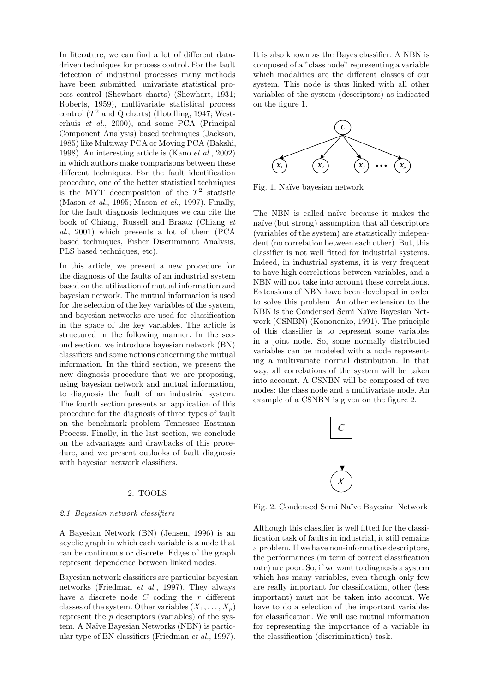In literature, we can find a lot of different datadriven techniques for process control. For the fault detection of industrial processes many methods have been submitted: univariate statistical process control (Shewhart charts) (Shewhart, 1931; Roberts, 1959), multivariate statistical process control  $(T^2 \text{ and } Q \text{ charts})$  (Hotelling, 1947; Westerhuis et al., 2000), and some PCA (Principal Component Analysis) based techniques (Jackson, 1985) like Multiway PCA or Moving PCA (Bakshi, 1998). An interesting article is (Kano et al., 2002) in which authors make comparisons between these different techniques. For the fault identification procedure, one of the better statistical techniques is the MYT decomposition of the  $T^2$  statistic (Mason et al., 1995; Mason et al., 1997). Finally, for the fault diagnosis techniques we can cite the book of Chiang, Russell and Braatz (Chiang et al., 2001) which presents a lot of them (PCA based techniques, Fisher Discriminant Analysis, PLS based techniques, etc).

In this article, we present a new procedure for the diagnosis of the faults of an industrial system based on the utilization of mutual information and bayesian network. The mutual information is used for the selection of the key variables of the system, and bayesian networks are used for classification in the space of the key variables. The article is structured in the following manner. In the second section, we introduce bayesian network (BN) classifiers and some notions concerning the mutual information. In the third section, we present the new diagnosis procedure that we are proposing, using bayesian network and mutual information, to diagnosis the fault of an industrial system. The fourth section presents an application of this procedure for the diagnosis of three types of fault on the benchmark problem Tennessee Eastman Process. Finally, in the last section, we conclude on the advantages and drawbacks of this procedure, and we present outlooks of fault diagnosis with bayesian network classifiers.

#### 2. TOOLS

#### 2.1 Bayesian network classifiers

A Bayesian Network (BN) (Jensen, 1996) is an acyclic graph in which each variable is a node that can be continuous or discrete. Edges of the graph represent dependence between linked nodes.

Bayesian network classifiers are particular bayesian networks (Friedman et al., 1997). They always have a discrete node  $C$  coding the  $r$  different classes of the system. Other variables  $(X_1, \ldots, X_n)$ represent the p descriptors (variables) of the system. A Naïve Bayesian Networks (NBN) is particular type of BN classifiers (Friedman et al., 1997).

It is also known as the Bayes classifier. A NBN is composed of a "class node" representing a variable which modalities are the different classes of our system. This node is thus linked with all other variables of the system (descriptors) as indicated on the figure 1.



Fig. 1. Na¨ıve bayesian network

The NBN is called naïve because it makes the naïve (but strong) assumption that all descriptors (variables of the system) are statistically independent (no correlation between each other). But, this classifier is not well fitted for industrial systems. Indeed, in industrial systems, it is very frequent to have high correlations between variables, and a NBN will not take into account these correlations. Extensions of NBN have been developed in order to solve this problem. An other extension to the NBN is the Condensed Semi Naïve Bayesian Network (CSNBN) (Kononenko, 1991). The principle of this classifier is to represent some variables in a joint node. So, some normally distributed variables can be modeled with a node representing a multivariate normal distribution. In that way, all correlations of the system will be taken into account. A CSNBN will be composed of two nodes: the class node and a multivariate node. An example of a CSNBN is given on the figure 2.



Fig. 2. Condensed Semi Na¨ıve Bayesian Network

Although this classifier is well fitted for the classification task of faults in industrial, it still remains a problem. If we have non-informative descriptors, the performances (in term of correct classification rate) are poor. So, if we want to diagnosis a system which has many variables, even though only few are really important for classification, other (less important) must not be taken into account. We have to do a selection of the important variables for classification. We will use mutual information for representing the importance of a variable in the classification (discrimination) task.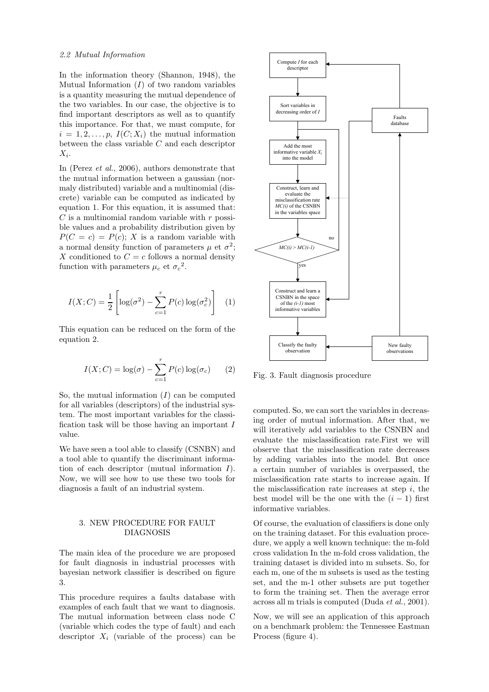#### 2.2 Mutual Information

In the information theory (Shannon, 1948), the Mutual Information  $(I)$  of two random variables is a quantity measuring the mutual dependence of the two variables. In our case, the objective is to find important descriptors as well as to quantify this importance. For that, we must compute, for  $i = 1, 2, \ldots, p$ ,  $I(C; X_i)$  the mutual information between the class variable C and each descriptor  $X_i$ .

In (Perez et al., 2006), authors demonstrate that the mutual information between a gaussian (normaly distributed) variable and a multinomial (discrete) variable can be computed as indicated by equation 1. For this equation, it is assumed that:  $C$  is a multinomial random variable with  $r$  possible values and a probability distribution given by  $P(C = c) = P(c)$ ; X is a random variable with a normal density function of parameters  $\mu$  et  $\sigma^2$ ; X conditioned to  $C = c$  follows a normal density function with parameters  $\mu_c$  et  $\sigma_c^2$ .

$$
I(X;C) = \frac{1}{2} \left[ \log(\sigma^2) - \sum_{c=1}^{r} P(c) \log(\sigma_c^2) \right] \quad (1)
$$

This equation can be reduced on the form of the equation 2.

$$
I(X;C) = \log(\sigma) - \sum_{c=1}^{r} P(c) \log(\sigma_c)
$$
 (2)

So, the mutual information  $(I)$  can be computed for all variables (descriptors) of the industrial system. The most important variables for the classification task will be those having an important  $I$ value.

We have seen a tool able to classify (CSNBN) and a tool able to quantify the discriminant information of each descriptor (mutual information I). Now, we will see how to use these two tools for diagnosis a fault of an industrial system.

#### 3. NEW PROCEDURE FOR FAULT DIAGNOSIS

The main idea of the procedure we are proposed for fault diagnosis in industrial processes with bayesian network classifier is described on figure 3.

This procedure requires a faults database with examples of each fault that we want to diagnosis. The mutual information between class node C (variable which codes the type of fault) and each descriptor  $X_i$  (variable of the process) can be



Fig. 3. Fault diagnosis procedure

computed. So, we can sort the variables in decreasing order of mutual information. After that, we will iteratively add variables to the CSNBN and evaluate the misclassification rate.First we will observe that the misclassification rate decreases by adding variables into the model. But once a certain number of variables is overpassed, the misclassification rate starts to increase again. If the misclassification rate increases at step  $i$ , the best model will be the one with the  $(i - 1)$  first informative variables.

Of course, the evaluation of classifiers is done only on the training dataset. For this evaluation procedure, we apply a well known technique: the m-fold cross validation In the m-fold cross validation, the training dataset is divided into m subsets. So, for each m, one of the m subsets is used as the testing set, and the m-1 other subsets are put together to form the training set. Then the average error across all m trials is computed (Duda et al., 2001).

Now, we will see an application of this approach on a benchmark problem: the Tennessee Eastman Process (figure 4).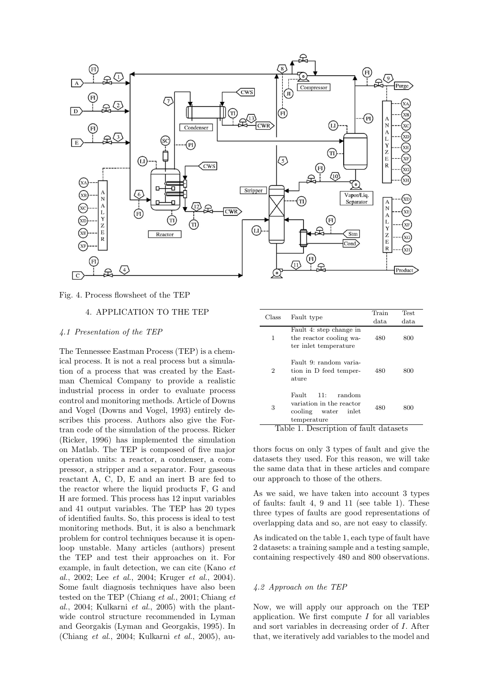

Fig. 4. Process flowsheet of the TEP

#### 4. APPLICATION TO THE TEP

#### 4.1 Presentation of the TEP

The Tennessee Eastman Process (TEP) is a chemical process. It is not a real process but a simulation of a process that was created by the Eastman Chemical Company to provide a realistic industrial process in order to evaluate process control and monitoring methods. Article of Downs and Vogel (Downs and Vogel, 1993) entirely describes this process. Authors also give the Fortran code of the simulation of the process. Ricker (Ricker, 1996) has implemented the simulation on Matlab. The TEP is composed of five major operation units: a reactor, a condenser, a compressor, a stripper and a separator. Four gaseous reactant A, C, D, E and an inert B are fed to the reactor where the liquid products F, G and H are formed. This process has 12 input variables and 41 output variables. The TEP has 20 types of identified faults. So, this process is ideal to test monitoring methods. But, it is also a benchmark problem for control techniques because it is openloop unstable. Many articles (authors) present the TEP and test their approaches on it. For example, in fault detection, we can cite (Kano et al., 2002; Lee et al., 2004; Kruger et al., 2004). Some fault diagnosis techniques have also been tested on the TEP (Chiang et al., 2001; Chiang et al., 2004; Kulkarni et al., 2005) with the plantwide control structure recommended in Lyman and Georgakis (Lyman and Georgakis, 1995). In (Chiang et al., 2004; Kulkarni et al., 2005), au-

| Class          | Fault type                                                                                   | Train | Test. |
|----------------|----------------------------------------------------------------------------------------------|-------|-------|
|                |                                                                                              | data. | data  |
| 1              | Fault 4: step change in<br>the reactor cooling wa-<br>ter inlet temperature                  | 480   | 800   |
| $\overline{2}$ | Fault 9: random varia-<br>tion in D feed temper-<br>ature                                    | 480   | 800   |
| 3              | Fault.<br>random<br>11:<br>variation in the reactor<br>cooling water<br>inlet<br>temperature | 480   | 800   |

Table 1. Description of fault datasets

thors focus on only 3 types of fault and give the datasets they used. For this reason, we will take the same data that in these articles and compare our approach to those of the others.

As we said, we have taken into account 3 types of faults: fault 4, 9 and 11 (see table 1). These three types of faults are good representations of overlapping data and so, are not easy to classify.

As indicated on the table 1, each type of fault have 2 datasets: a training sample and a testing sample, containing respectively 480 and 800 observations.

#### 4.2 Approach on the TEP

Now, we will apply our approach on the TEP application. We first compute  $I$  for all variables and sort variables in decreasing order of I. After that, we iteratively add variables to the model and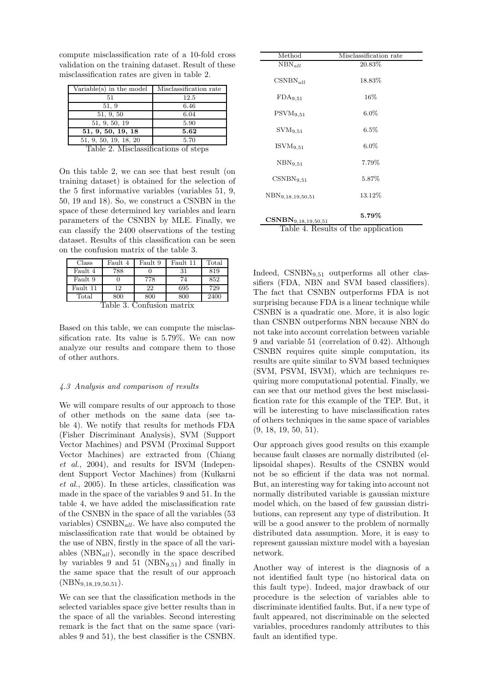| Variable(s) in the model | Misclassification rate |  |
|--------------------------|------------------------|--|
| 51                       | 12.5                   |  |
| 51, 9                    | 6.46                   |  |
| 51, 9, 50                | 6.04                   |  |
| 51, 9, 50, 19            | 5.90                   |  |
| 51, 9, 50, 19, 18        | 5.62                   |  |
| 51, 9, 50, 19, 18, 20    | 5.70                   |  |

compute misclassification rate of a 10-fold cross validation on the training dataset. Result of these misclassification rates are given in table 2.

Table 2. Misclassifications of steps

On this table 2, we can see that best result (on training dataset) is obtained for the selection of the 5 first informative variables (variables 51, 9, 50, 19 and 18). So, we construct a CSNBN in the space of these determined key variables and learn parameters of the CSNBN by MLE. Finally, we can classify the 2400 observations of the testing dataset. Results of this classification can be seen on the confusion matrix of the table 3.

| Class                     | Fault 4 | Fault 9 | Fault 11 | Total |  |
|---------------------------|---------|---------|----------|-------|--|
| Fault 4                   | 788     |         | 31       | 819   |  |
| Fault 9                   |         | 778     | 74       | 852   |  |
| Fault 11                  | 12      | 22      | 695      | 729   |  |
| Total                     | 800     | 800     | 800      | 2400  |  |
| Table 3. Confusion matrix |         |         |          |       |  |

Based on this table, we can compute the misclassification rate. Its value is 5.79%. We can now analyze our results and compare them to those

#### 4.3 Analysis and comparison of results

of other authors.

We will compare results of our approach to those of other methods on the same data (see table 4). We notify that results for methods FDA (Fisher Discriminant Analysis), SVM (Support Vector Machines) and PSVM (Proximal Support Vector Machines) are extracted from (Chiang et al., 2004), and results for ISVM (Independent Support Vector Machines) from (Kulkarni et al., 2005). In these articles, classification was made in the space of the variables 9 and 51. In the table 4, we have added the misclassification rate of the CSNBN in the space of all the variables (53 variables)  $\text{CSNBN}_{all}$ . We have also computed the misclassification rate that would be obtained by the use of NBN, firstly in the space of all the variables  $(NBN_{all})$ , secondly in the space described by variables 9 and 51 ( $NBN_{9,51}$ ) and finally in the same space that the result of our approach  $(NBN_{9,18,19,50,51}).$ 

We can see that the classification methods in the selected variables space give better results than in the space of all the variables. Second interesting remark is the fact that on the same space (variables 9 and 51), the best classifier is the CSNBN.

| Method                              | Misclassification rate |  |  |
|-------------------------------------|------------------------|--|--|
| $NBN_{all}$                         | 20.83%                 |  |  |
| $CSNBN_{all}$                       | 18.83%                 |  |  |
| FDA9,51                             | 16%                    |  |  |
| $\rm{PSVM}_{9,51}$                  | $6.0\%$                |  |  |
| $\rm SVM_{9.51}$                    | 6.5%                   |  |  |
| $ISVM_{9.51}$                       | $6.0\%$                |  |  |
| NBN9,51                             | 7.79%                  |  |  |
| $\text{CSNBN}_{9.51}$               | 5.87%                  |  |  |
| NBN <sub>9,18,19,50,51</sub>        | 13.12%                 |  |  |
| $\textbf{CSNBN}_{9,18,19,50,51}$    | 5.79%                  |  |  |
| Table 4. Results of the application |                        |  |  |

Indeed, CSNBN<sub>9,51</sub> outperforms all other classifiers (FDA, NBN and SVM based classifiers). The fact that CSNBN outperforms FDA is not surprising because FDA is a linear technique while CSNBN is a quadratic one. More, it is also logic than CSNBN outperforms NBN because NBN do not take into account correlation between variable 9 and variable 51 (correlation of 0.42). Although CSNBN requires quite simple computation, its results are quite similar to SVM based techniques (SVM, PSVM, ISVM), which are techniques requiring more computational potential. Finally, we can see that our method gives the best misclassification rate for this example of the TEP. But, it will be interesting to have misclassification rates of others techniques in the same space of variables (9, 18, 19, 50, 51).

Our approach gives good results on this example because fault classes are normally distributed (ellipsoidal shapes). Results of the CSNBN would not be so efficient if the data was not normal. But, an interesting way for taking into account not normally distributed variable is gaussian mixture model which, on the based of few gaussian distributions, can represent any type of distribution. It will be a good answer to the problem of normally distributed data assumption. More, it is easy to represent gaussian mixture model with a bayesian network.

Another way of interest is the diagnosis of a not identified fault type (no historical data on this fault type). Indeed, major drawback of our procedure is the selection of variables able to discriminate identified faults. But, if a new type of fault appeared, not discriminable on the selected variables, procedures randomly attributes to this fault an identified type.